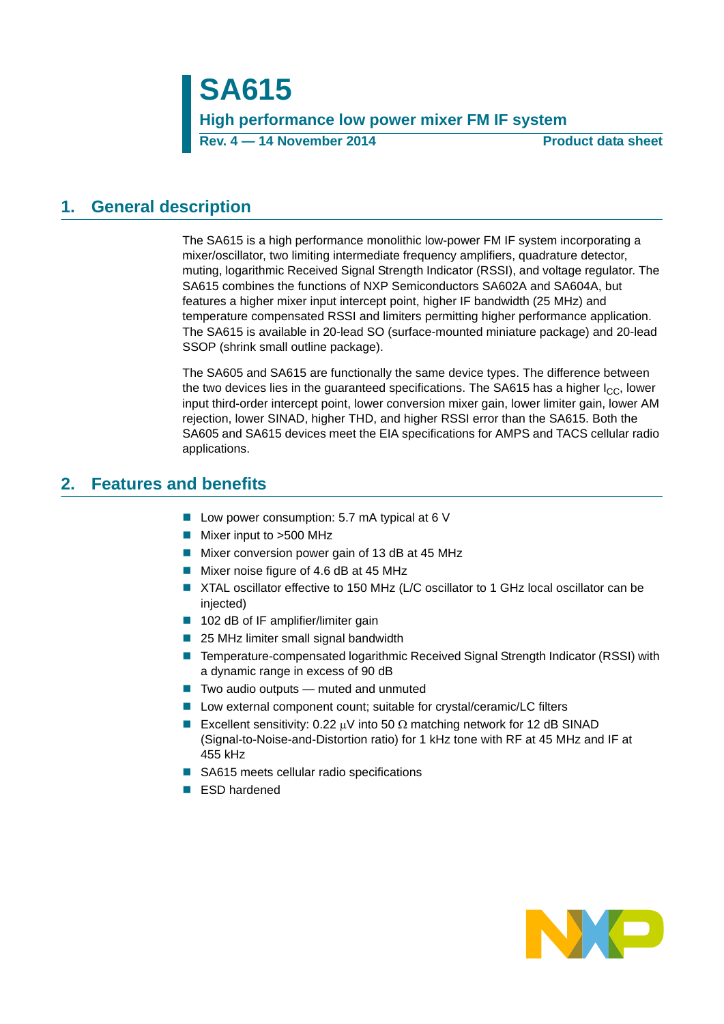**SA615 High performance low power mixer FM IF system Rev. 4 — 14 November 2014 Product data sheet**

# <span id="page-0-0"></span>**1. General description**

The SA615 is a high performance monolithic low-power FM IF system incorporating a mixer/oscillator, two limiting intermediate frequency amplifiers, quadrature detector, muting, logarithmic Received Signal Strength Indicator (RSSI), and voltage regulator. The SA615 combines the functions of NXP Semiconductors SA602A and SA604A, but features a higher mixer input intercept point, higher IF bandwidth (25 MHz) and temperature compensated RSSI and limiters permitting higher performance application. The SA615 is available in 20-lead SO (surface-mounted miniature package) and 20-lead SSOP (shrink small outline package).

The SA605 and SA615 are functionally the same device types. The difference between the two devices lies in the guaranteed specifications. The SA615 has a higher  $I_{\rm CC}$ , lower input third-order intercept point, lower conversion mixer gain, lower limiter gain, lower AM rejection, lower SINAD, higher THD, and higher RSSI error than the SA615. Both the SA605 and SA615 devices meet the EIA specifications for AMPS and TACS cellular radio applications.

# <span id="page-0-1"></span>**2. Features and benefits**

- Low power consumption: 5.7 mA typical at 6 V
- **Mixer input to >500 MHz**
- Mixer conversion power gain of 13 dB at 45 MHz
- Mixer noise figure of 4.6 dB at 45 MHz
- XTAL oscillator effective to 150 MHz (L/C oscillator to 1 GHz local oscillator can be injected)
- 102 dB of IF amplifier/limiter gain
- 25 MHz limiter small signal bandwidth
- Temperature-compensated logarithmic Received Signal Strength Indicator (RSSI) with a dynamic range in excess of 90 dB
- $\blacksquare$  Two audio outputs muted and unmuted
- Low external component count; suitable for crystal/ceramic/LC filters
- Excellent sensitivity: 0.22  $\mu$ V into 50  $\Omega$  matching network for 12 dB SINAD (Signal-to-Noise-and-Distortion ratio) for 1 kHz tone with RF at 45 MHz and IF at 455 kHz
- SA615 meets cellular radio specifications
- **ESD** hardened

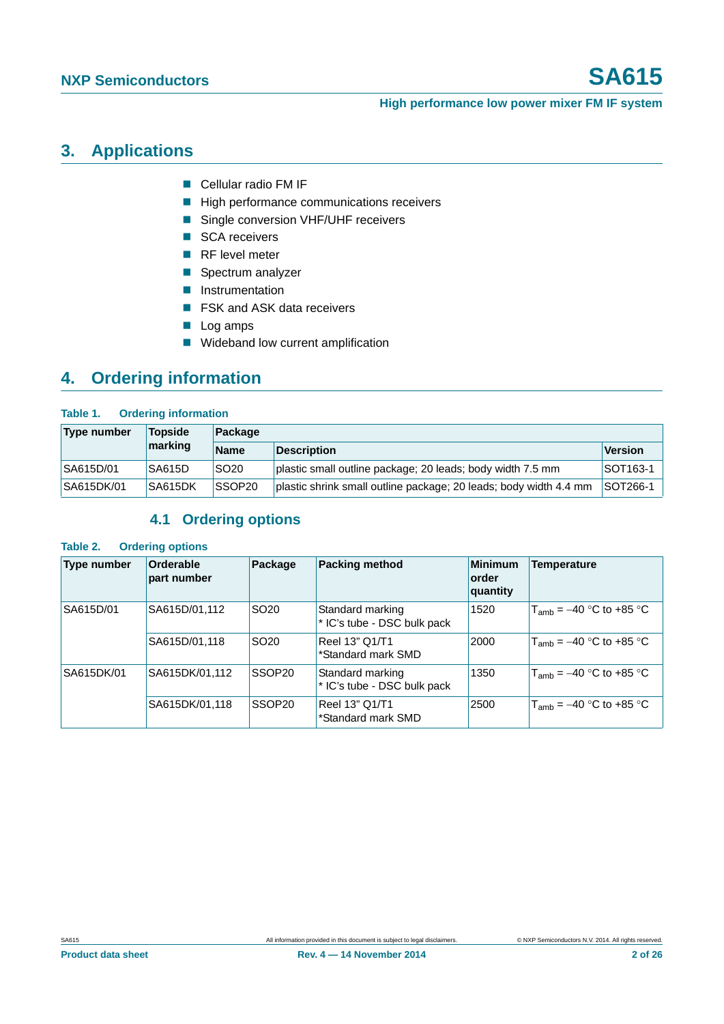# <span id="page-1-0"></span>**3. Applications**

- Cellular radio FM IF
- High performance communications receivers
- Single conversion VHF/UHF receivers
- SCA receivers
- RF level meter
- Spectrum analyzer
- **Instrumentation**
- FSK and ASK data receivers
- Log amps
- **Wideband low current amplification**

# <span id="page-1-1"></span>**4. Ordering information**

### **Table 1. Ordering information**

| <b>Type number</b> | <b>Topside</b> | Package            |                                                                   |                 |  |
|--------------------|----------------|--------------------|-------------------------------------------------------------------|-----------------|--|
|                    | marking        | <b>Name</b>        | <b>Description</b>                                                | Version         |  |
| SA615D/01          | SA615D         | <b>SO20</b>        | plastic small outline package; 20 leads; body width 7.5 mm        | <b>SOT163-1</b> |  |
| SA615DK/01         | SA615DK        | SSOP <sub>20</sub> | plastic shrink small outline package; 20 leads; body width 4.4 mm | <b>SOT266-1</b> |  |

# **4.1 Ordering options**

### <span id="page-1-2"></span>**Table 2. Ordering options**

| Type number | Orderable<br>part number | Package            | <b>Packing method</b>                           | <b>Minimum</b><br>order<br>quantity | <b>Temperature</b>           |
|-------------|--------------------------|--------------------|-------------------------------------------------|-------------------------------------|------------------------------|
| SA615D/01   | SA615D/01,112            | SO <sub>20</sub>   | Standard marking<br>* IC's tube - DSC bulk pack | 1520                                | $T_{amb} = -40$ °C to +85 °C |
|             | SA615D/01,118            | SO <sub>20</sub>   | Reel 13" Q1/T1<br>*Standard mark SMD            | 2000                                | $T_{amb}$ = –40 °C to +85 °C |
| SA615DK/01  | SA615DK/01,112           | SSOP20             | Standard marking<br>* IC's tube - DSC bulk pack | 1350                                | $T_{amb}$ = –40 °C to +85 °C |
|             | SA615DK/01,118           | SSOP <sub>20</sub> | Reel 13" Q1/T1<br>*Standard mark SMD            | 2500                                | $T_{amb}$ = –40 °C to +85 °C |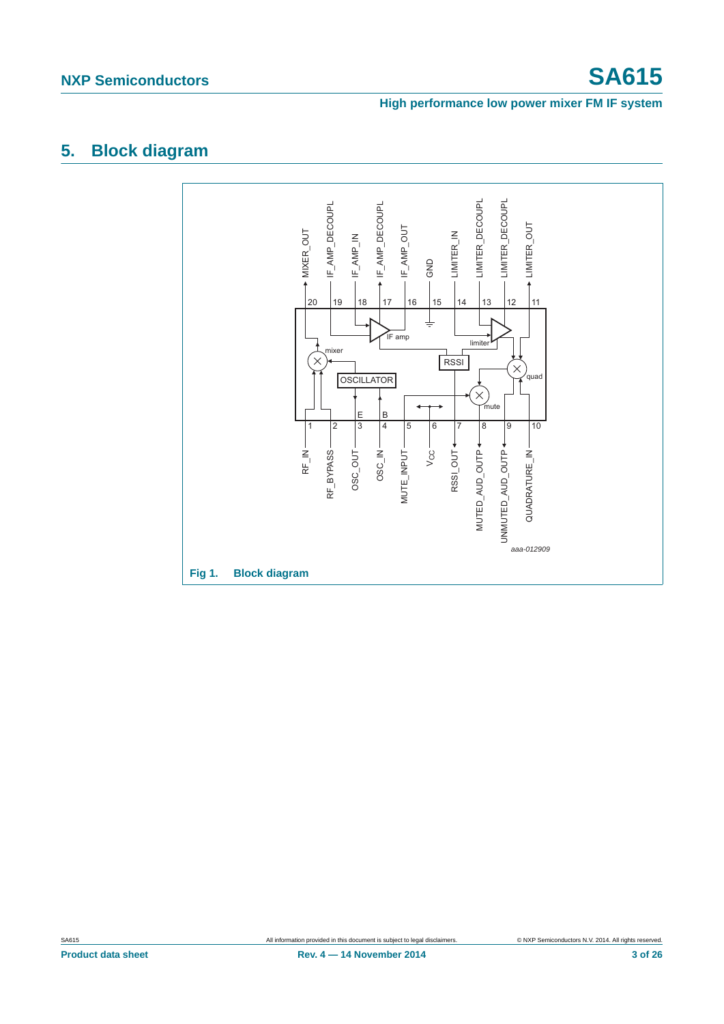# <span id="page-2-0"></span>**5. Block diagram**

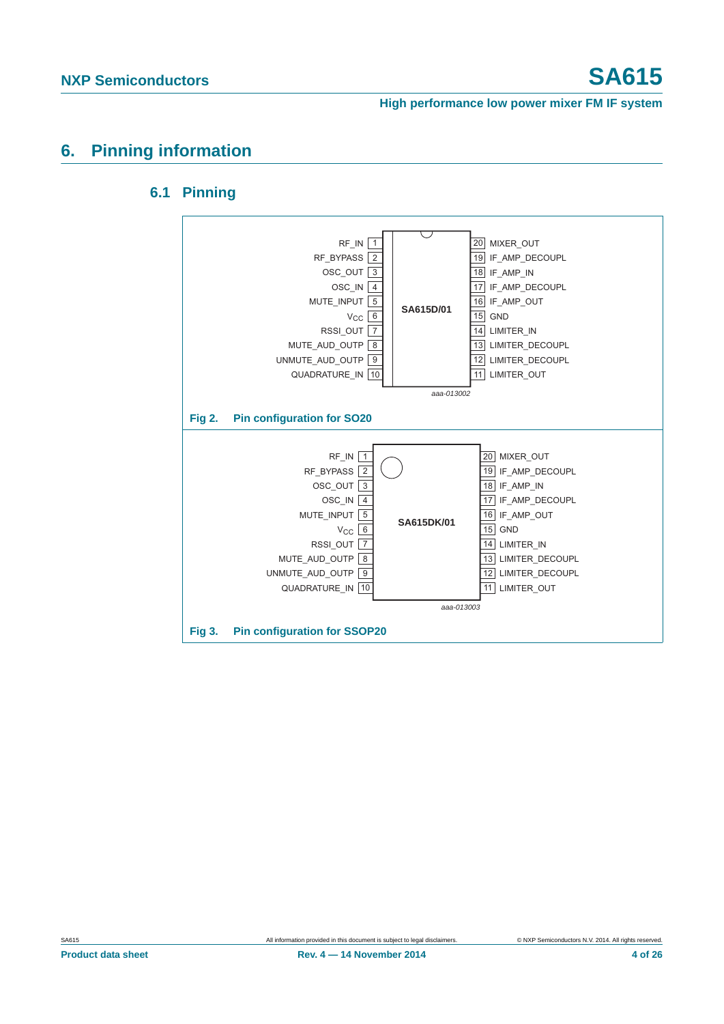# <span id="page-3-1"></span><span id="page-3-0"></span>**6. Pinning information**

## **6.1 Pinning**

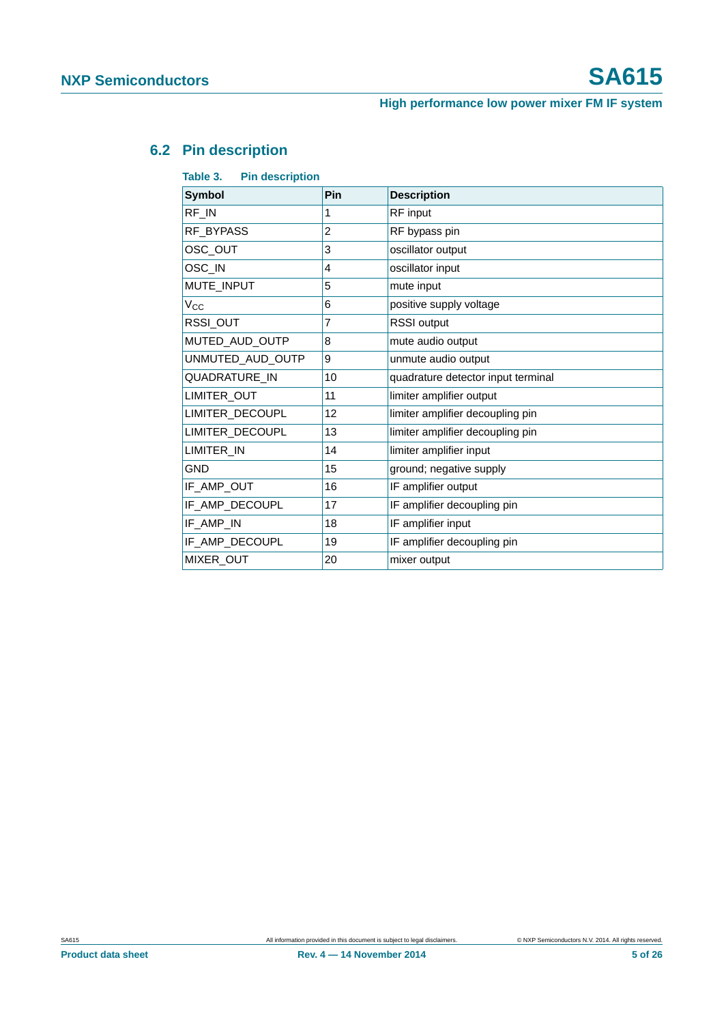# <span id="page-4-0"></span>**6.2 Pin description**

| Table 3.<br><b>Pin description</b> |                |                                    |  |  |
|------------------------------------|----------------|------------------------------------|--|--|
| <b>Symbol</b>                      | Pin            | <b>Description</b>                 |  |  |
| RF_IN                              | 1              | RF input                           |  |  |
| <b>RF BYPASS</b>                   | $\overline{2}$ | RF bypass pin                      |  |  |
| OSC OUT                            | 3              | oscillator output                  |  |  |
| OSC_IN                             | 4              | oscillator input                   |  |  |
| MUTE_INPUT                         | 5              | mute input                         |  |  |
| $V_{\rm CC}$                       | 6              | positive supply voltage            |  |  |
| RSSI OUT                           | 7              | <b>RSSI</b> output                 |  |  |
| MUTED_AUD_OUTP                     | 8              | mute audio output                  |  |  |
| UNMUTED_AUD_OUTP                   | 9              | unmute audio output                |  |  |
| QUADRATURE_IN                      | 10             | quadrature detector input terminal |  |  |
| LIMITER OUT                        | 11             | limiter amplifier output           |  |  |
| LIMITER_DECOUPL                    | 12             | limiter amplifier decoupling pin   |  |  |
| LIMITER_DECOUPL                    | 13             | limiter amplifier decoupling pin   |  |  |
| LIMITER IN                         | 14             | limiter amplifier input            |  |  |
| <b>GND</b>                         | 15             | ground; negative supply            |  |  |
| IF_AMP_OUT                         | 16             | IF amplifier output                |  |  |
| IF_AMP_DECOUPL                     | 17             | IF amplifier decoupling pin        |  |  |
| IF AMP IN                          | 18             | IF amplifier input                 |  |  |
| IF_AMP_DECOUPL                     | 19             | IF amplifier decoupling pin        |  |  |
| MIXER_OUT                          | 20             | mixer output                       |  |  |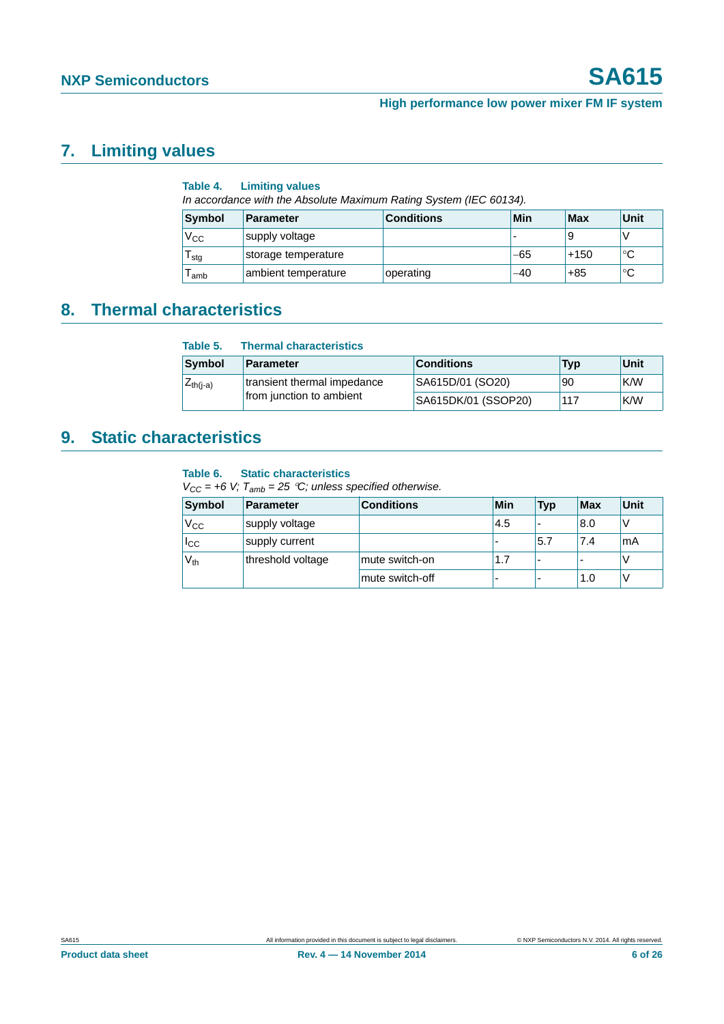# <span id="page-5-0"></span>**7. Limiting values**

|              | Table 4. Limiting values                                           |                   |     |     |      |
|--------------|--------------------------------------------------------------------|-------------------|-----|-----|------|
|              | In accordance with the Absolute Maximum Rating System (IEC 60134). |                   |     |     |      |
| Symbol       | <b>Parameter</b>                                                   | <b>Conditions</b> | Min | Max | Unit |
| $V_{\rm CC}$ | supply voltage                                                     |                   |     |     |      |

# <span id="page-5-1"></span>**8. Thermal characteristics**

| Table 5.      | <b>Thermal characteristics</b> |                     |     |      |
|---------------|--------------------------------|---------------------|-----|------|
| <b>Symbol</b> | <b>Parameter</b>               | <b>Conditions</b>   | Typ | Unit |
| $Z_{th(i-a)}$ | transient thermal impedance    | SA615D/01 (SO20)    | 90  | K/W  |
|               | from junction to ambient       | SA615DK/01 (SSOP20) | 117 | K/W  |

 $T_{\text{stg}}$  storage temperature  $-65$  +150  $\degree$ C  $T_{amb}$  ambient temperature operating  $-40$  +85  $\degree$ C

# <span id="page-5-2"></span>**9. Static characteristics**

## **Table 6. Static characteristics**

 $V_{CC}$  = +6 V;  $T_{amb}$  = 25 °C; unless specified otherwise.

| Symbol        | <b>Parameter</b>  | <b>Conditions</b> | Min  | <b>Typ</b>               | <b>Max</b>               | Unit |
|---------------|-------------------|-------------------|------|--------------------------|--------------------------|------|
| $V_{\rm CC}$  | supply voltage    |                   | .4.5 | $\overline{\phantom{a}}$ | 8.0                      |      |
| $_{\rm{lcc}}$ | supply current    |                   |      | 5.7                      | 7.4                      | mA   |
| $V_{th}$      | threshold voltage | mute switch-on    | 1.7  |                          | $\overline{\phantom{a}}$ |      |
|               |                   | mute switch-off   | -    | $\overline{\phantom{a}}$ | 1.0                      |      |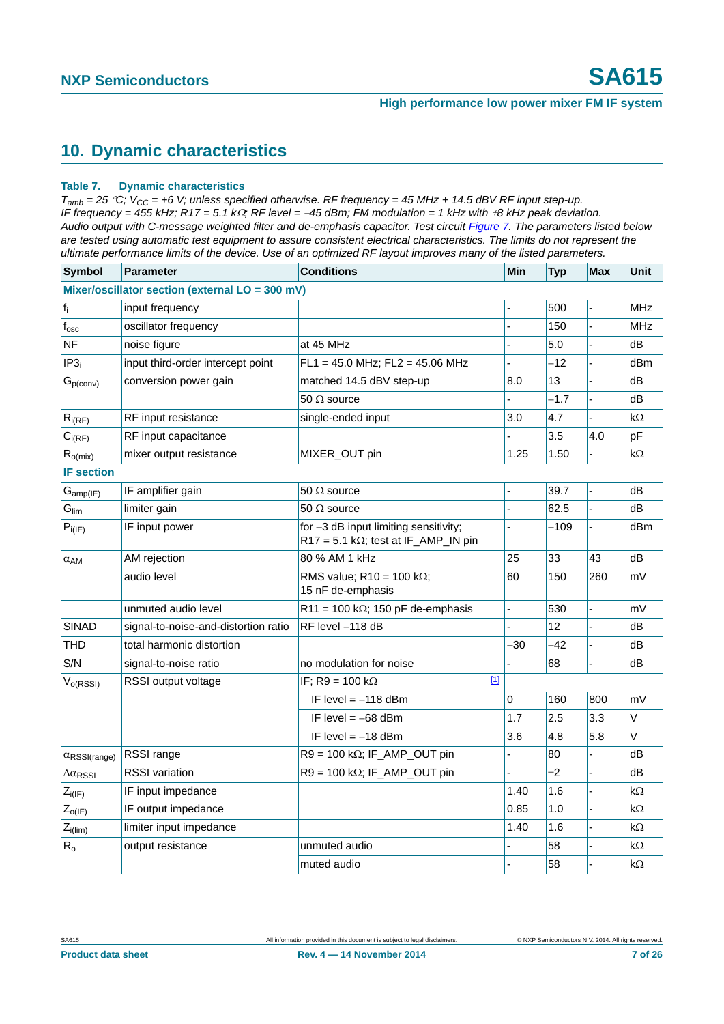# <span id="page-6-0"></span>**10. Dynamic characteristics**

### **Table 7. Dynamic characteristics**

 $T_{amb}$  = 25 °C;  $V_{CC}$  = +6 V; unless specified otherwise. RF frequency = 45 MHz + 14.5 dBV RF input step-up. *IF frequency = 455 kHz; R17 = 5.1 kΩ; RF level = -45 dBm; FM modulation = 1 kHz with*  $\pm 8$  *kHz peak deviation. Audio output with C-message weighted filter and de-emphasis capacitor. Test circuit [Figure 7](#page-12-0). The parameters listed below*  are tested using automatic test equipment to assure consistent electrical characteristics. The limits do not represent the *ultimate performance limits of the device. Use of an optimized RF layout improves many of the listed parameters.*

| <b>Symbol</b>                    | <b>Parameter</b>                                | <b>Conditions</b>                                                                    | <b>Min</b>     | <b>Typ</b> | <b>Max</b>     | Unit       |
|----------------------------------|-------------------------------------------------|--------------------------------------------------------------------------------------|----------------|------------|----------------|------------|
|                                  | Mixer/oscillator section (external LO = 300 mV) |                                                                                      |                |            |                |            |
| $f_i$                            | input frequency                                 |                                                                                      |                | 500        |                | MHz        |
| $f_{\rm osc}$                    | oscillator frequency                            |                                                                                      |                | 150        |                | <b>MHz</b> |
| <b>NF</b>                        | noise figure                                    | at 45 MHz                                                                            |                | 5.0        |                | dB         |
| IP3 <sub>i</sub>                 | input third-order intercept point               | $FL1 = 45.0$ MHz; $FL2 = 45.06$ MHz                                                  | $\overline{a}$ | $-12$      |                | dBm        |
| $G_{p(\text{conv})}$             | conversion power gain                           | matched 14.5 dBV step-up                                                             | 8.0            | 13         |                | dB         |
|                                  |                                                 | 50 $\Omega$ source                                                                   |                | $-1.7$     |                | dB         |
| $R_{i(RF)}$                      | RF input resistance                             | single-ended input                                                                   | 3.0            | 4.7        |                | kΩ         |
| $C_{i(RF)}$                      | RF input capacitance                            |                                                                                      |                | 3.5        | 4.0            | pF         |
| $R_{o(mix)}$                     | mixer output resistance                         | MIXER_OUT pin                                                                        | 1.25           | 1.50       |                | kΩ         |
| <b>IF section</b>                |                                                 |                                                                                      |                |            |                |            |
| $G_{amp(IF)}$                    | IF amplifier gain                               | 50 $\Omega$ source                                                                   |                | 39.7       |                | dB         |
| $G_{\text{lim}}$                 | limiter gain                                    | 50 $\Omega$ source                                                                   |                | 62.5       |                | dB         |
| $P_{i(IF)}$                      | IF input power                                  | for -3 dB input limiting sensitivity;<br>$R17 = 5.1 k\Omega$ ; test at IF_AMP_IN pin |                | $-109$     |                | dBm        |
| $\alpha_{AM}$                    | AM rejection                                    | 80 % AM 1 kHz                                                                        | 25             | 33         | 43             | dB         |
|                                  | audio level                                     | RMS value; R10 = 100 k $\Omega$ ;<br>15 nF de-emphasis                               | 60             | 150        | 260            | mV         |
|                                  | unmuted audio level                             | R11 = 100 k $\Omega$ ; 150 pF de-emphasis                                            | $\overline{a}$ | 530        | $\overline{a}$ | mV         |
| <b>SINAD</b>                     | signal-to-noise-and-distortion ratio            | RF level -118 dB                                                                     |                | 12         |                | dB         |
| <b>THD</b>                       | total harmonic distortion                       |                                                                                      | -30            | $-42$      |                | dВ         |
| S/N                              | signal-to-noise ratio                           | no modulation for noise                                                              |                | 68         |                | dB         |
| $V_{o(RSSI)}$                    | RSSI output voltage                             | $[1]$<br>IF; R9 = 100 k $\Omega$                                                     |                |            |                |            |
|                                  |                                                 | IF level $= -118$ dBm                                                                | 0              | 160        | 800            | mV         |
|                                  |                                                 | IF level $= -68$ dBm                                                                 | 1.7            | 2.5        | 3.3            | V          |
|                                  |                                                 | IF level $= -18$ dBm                                                                 | 3.6            | 4.8        | 5.8            | V          |
| $\alpha$ <sub>RSSI</sub> (range) | RSSI range                                      | $R9 = 100 k\Omega$ ; IF_AMP_OUT pin                                                  |                | 80         |                | dB         |
| $\Delta \alpha_{\text{RSSI}}$    | <b>RSSI</b> variation                           | $R9 = 100 k\Omega$ ; IF_AMP_OUT pin                                                  |                | ±2         |                | dB         |
| $Z_{i(IF)}$                      | IF input impedance                              |                                                                                      | 1.40           | 1.6        |                | $k\Omega$  |
| $Z_{O( F)}$                      | IF output impedance                             |                                                                                      | 0.85           | 1.0        |                | kΩ         |
| $Z_{i(lim)}$                     | limiter input impedance                         |                                                                                      | 1.40           | 1.6        |                | kΩ         |
| $R_{o}$                          | output resistance                               | unmuted audio                                                                        |                | 58         |                | kΩ         |
|                                  |                                                 | muted audio                                                                          |                | 58         |                | $k\Omega$  |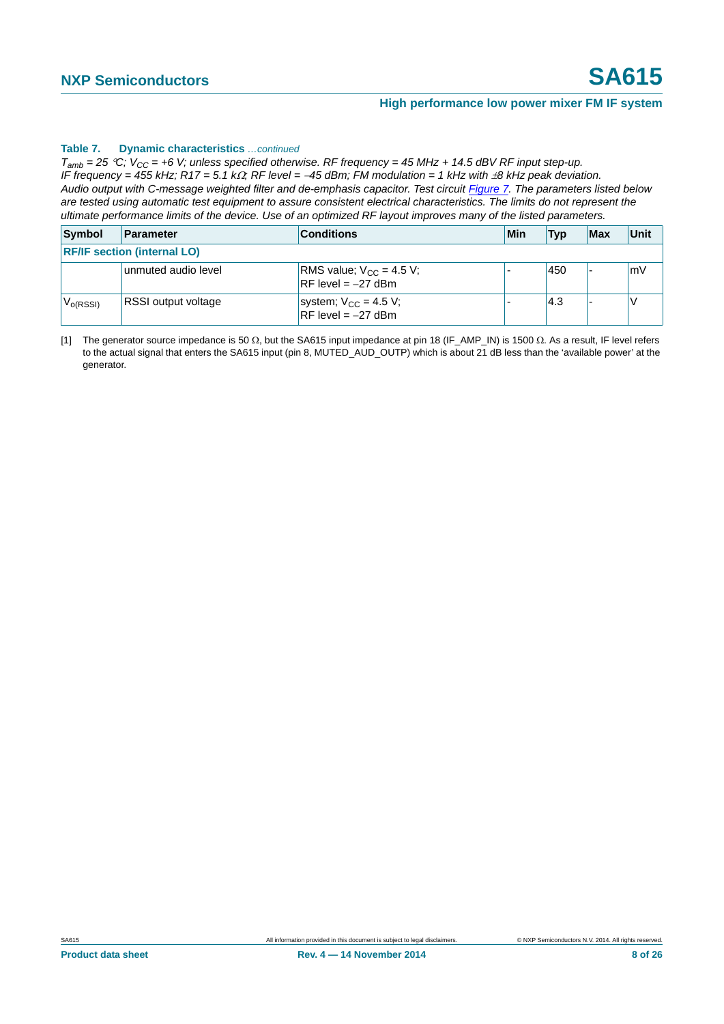### **Table 7. Dynamic characteristics** *…continued*

 $T_{amb}$  = 25 °C;  $V_{CC}$  = +6 V; unless specified otherwise. RF frequency = 45 MHz + 14.5 dBV RF input step-up. *IF frequency = 455 kHz; R17 = 5.1 kQ; RF level = -45 dBm; FM modulation = 1 kHz with*  $\pm 8$  *kHz peak deviation. Audio output with C-message weighted filter and de-emphasis capacitor. Test circuit Figure 7. The parameters listed below are tested using automatic test equipment to assure consistent electrical characteristics. The limits do not represent the ultimate performance limits of the device. Use of an optimized RF layout improves many of the listed parameters.*

| Symbol                             | Parameter                  | <b>Conditions</b>                                    | Min | <b>Typ</b> | Max | Unit |
|------------------------------------|----------------------------|------------------------------------------------------|-----|------------|-----|------|
| <b>RF/IF section (internal LO)</b> |                            |                                                      |     |            |     |      |
|                                    | unmuted audio level        | RMS value; $V_{CC}$ = 4.5 V;<br>$RF level = -27$ dBm |     | 450        |     | mV   |
| $V_{O(RSSI)}$                      | <b>RSSI</b> output voltage | system; $V_{CC} = 4.5 V$ ;<br>$RF$ level = -27 dBm   |     | 4.3        |     |      |

<span id="page-7-0"></span>[1] The generator source impedance is 50  $\Omega$ , but the SA615 input impedance at pin 18 (IF\_AMP\_IN) is 1500  $\Omega$ . As a result, IF level refers to the actual signal that enters the SA615 input (pin 8, MUTED\_AUD\_OUTP) which is about 21 dB less than the 'available power' at the generator.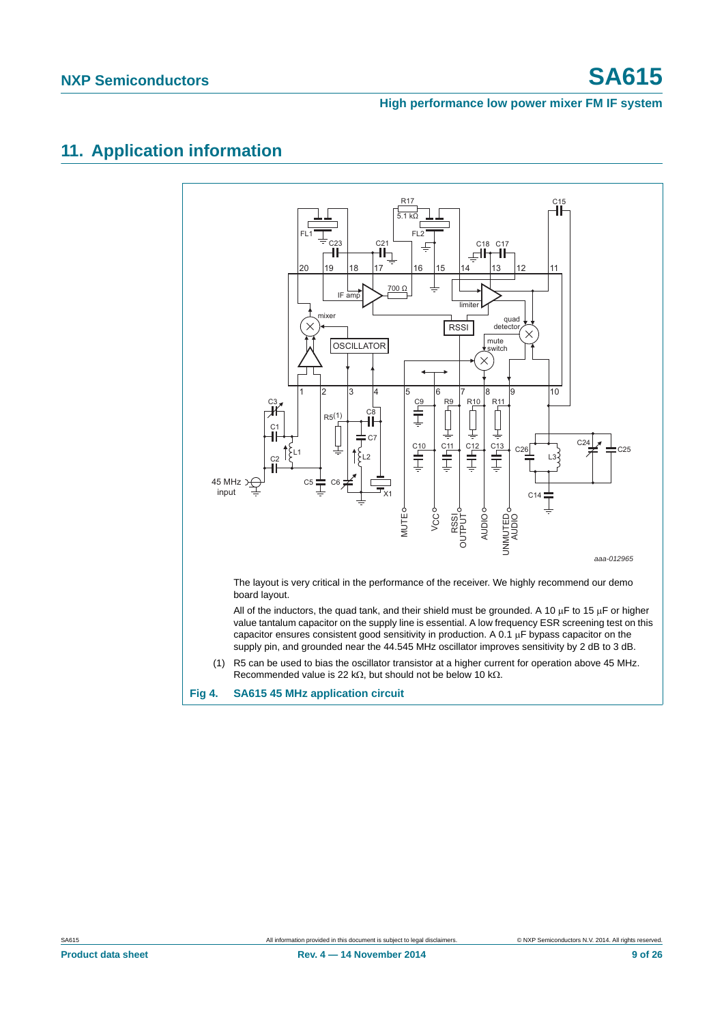# <span id="page-8-1"></span>**11. Application information**

<span id="page-8-0"></span>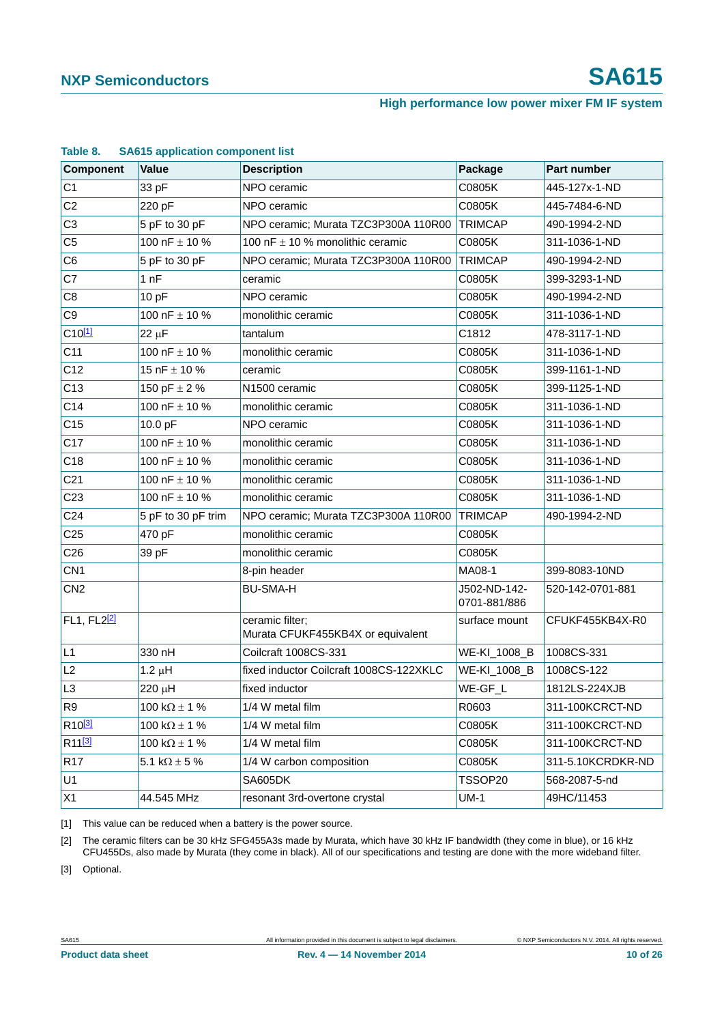| Component                     | <b>Value</b>           | <b>Description</b>                                   | Package                      | <b>Part number</b> |
|-------------------------------|------------------------|------------------------------------------------------|------------------------------|--------------------|
| C <sub>1</sub>                | 33 pF                  | NPO ceramic                                          | C0805K                       | 445-127x-1-ND      |
| C <sub>2</sub>                | 220 pF                 | NPO ceramic                                          | C0805K                       | 445-7484-6-ND      |
| C <sub>3</sub>                | 5 pF to 30 pF          | NPO ceramic; Murata TZC3P300A 110R00                 | <b>TRIMCAP</b>               | 490-1994-2-ND      |
| C <sub>5</sub>                | 100 nF $\pm$ 10 %      | 100 nF $\pm$ 10 % monolithic ceramic                 | C0805K                       | 311-1036-1-ND      |
| C <sub>6</sub>                | 5 pF to 30 pF          | NPO ceramic; Murata TZC3P300A 110R00                 | <b>TRIMCAP</b>               | 490-1994-2-ND      |
| C7                            | 1nF                    | ceramic                                              | C0805K                       | 399-3293-1-ND      |
| C <sub>8</sub>                | 10pF                   | NPO ceramic                                          | C0805K                       | 490-1994-2-ND      |
| C <sub>9</sub>                | 100 nF $\pm$ 10 %      | monolithic ceramic                                   | C0805K                       | 311-1036-1-ND      |
| $C10$ <sup>[1]</sup>          | 22 µF                  | tantalum                                             | C1812                        | 478-3117-1-ND      |
| C11                           | 100 nF $\pm$ 10 %      | monolithic ceramic                                   | C0805K                       | 311-1036-1-ND      |
| C <sub>12</sub>               | 15 nF $\pm$ 10 %       | ceramic                                              | C0805K                       | 399-1161-1-ND      |
| C <sub>13</sub>               | 150 pF $\pm$ 2 %       | N1500 ceramic                                        | C0805K                       | 399-1125-1-ND      |
| C14                           | 100 nF $\pm$ 10 %      | monolithic ceramic                                   | C0805K                       | 311-1036-1-ND      |
| C <sub>15</sub>               | 10.0 pF                | NPO ceramic                                          | C0805K                       | 311-1036-1-ND      |
| C <sub>17</sub>               | 100 nF $\pm$ 10 %      | monolithic ceramic                                   | C0805K                       | 311-1036-1-ND      |
| C18                           | 100 nF $\pm$ 10 %      | monolithic ceramic                                   | C0805K                       | 311-1036-1-ND      |
| C <sub>21</sub>               | 100 nF $\pm$ 10 %      | monolithic ceramic                                   | C0805K                       | 311-1036-1-ND      |
| C <sub>23</sub>               | 100 nF $\pm$ 10 %      | monolithic ceramic                                   | C0805K                       | 311-1036-1-ND      |
| C <sub>24</sub>               | 5 pF to 30 pF trim     | NPO ceramic; Murata TZC3P300A 110R00                 | <b>TRIMCAP</b>               | 490-1994-2-ND      |
| C <sub>25</sub>               | 470 pF                 | monolithic ceramic                                   | C0805K                       |                    |
| C <sub>26</sub>               | 39 pF                  | monolithic ceramic                                   | C0805K                       |                    |
| CN <sub>1</sub>               |                        | 8-pin header                                         | MA08-1                       | 399-8083-10ND      |
| CN <sub>2</sub>               |                        | <b>BU-SMA-H</b>                                      | J502-ND-142-<br>0701-881/886 | 520-142-0701-881   |
| FL1, FL2 <sup>[2]</sup>       |                        | ceramic filter;<br>Murata CFUKF455KB4X or equivalent | surface mount                | CFUKF455KB4X-R0    |
| L1                            | 330 nH                 | Coilcraft 1008CS-331                                 | WE-KI_1008_B                 | 1008CS-331         |
| L2                            | $1.2 \mu H$            | fixed inductor Coilcraft 1008CS-122XKLC              | WE-KI_1008_B                 | 1008CS-122         |
| L <sub>3</sub>                | 220 µH                 | fixed inductor                                       | WE-GF_L                      | 1812LS-224XJB      |
| R <sub>9</sub>                | 100 k $\Omega$ ± 1 %   | 1/4 W metal film                                     | R0603                        | 311-100KCRCT-ND    |
| R <sub>10<sup>[3]</sup></sub> | 100 k $\Omega$ ± 1 %   | 1/4 W metal film                                     | C0805K                       | 311-100KCRCT-ND    |
| R <sub>11</sub> [3]           | 100 k $\Omega \pm 1$ % | 1/4 W metal film                                     | C0805K                       | 311-100KCRCT-ND    |
| R <sub>17</sub>               | 5.1 k $\Omega \pm 5$ % | 1/4 W carbon composition                             | C0805K                       | 311-5.10KCRDKR-ND  |
| U1                            |                        | SA605DK                                              | TSSOP20                      | 568-2087-5-nd      |
| X1                            | 44.545 MHz             | resonant 3rd-overtone crystal                        | $UM-1$                       | 49HC/11453         |

### <span id="page-9-3"></span>**Table 8. SA615 application component list**

<span id="page-9-0"></span>[1] This value can be reduced when a battery is the power source.

<span id="page-9-1"></span>[2] The ceramic filters can be 30 kHz SFG455A3s made by Murata, which have 30 kHz IF bandwidth (they come in blue), or 16 kHz CFU455Ds, also made by Murata (they come in black). All of our specifications and testing are done with the more wideband filter.

<span id="page-9-2"></span>[3] Optional.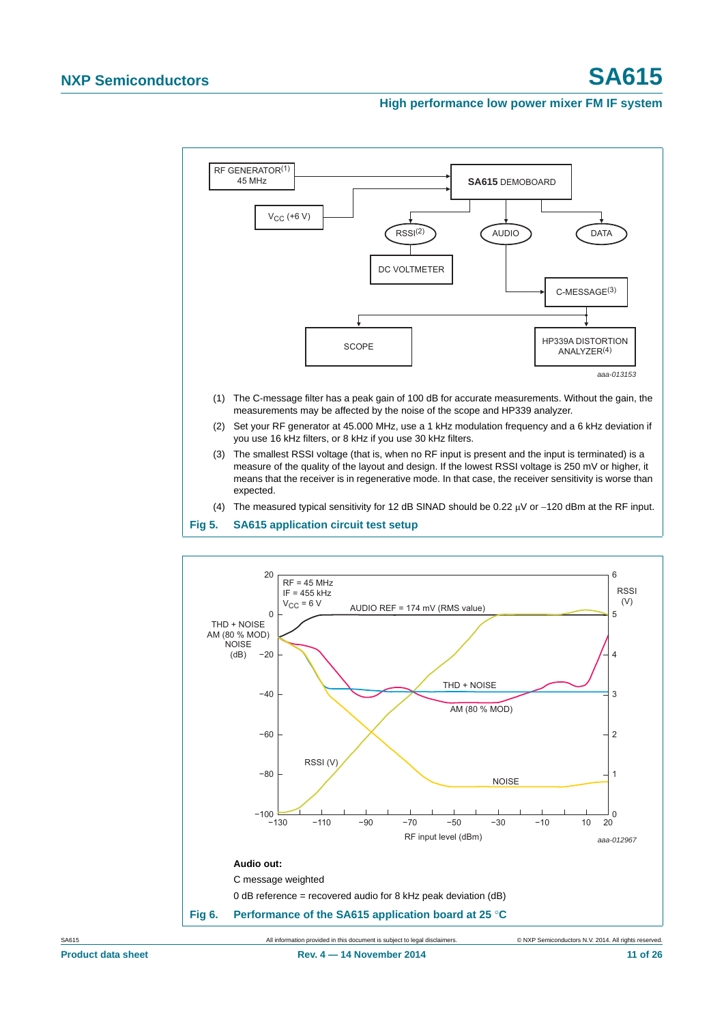

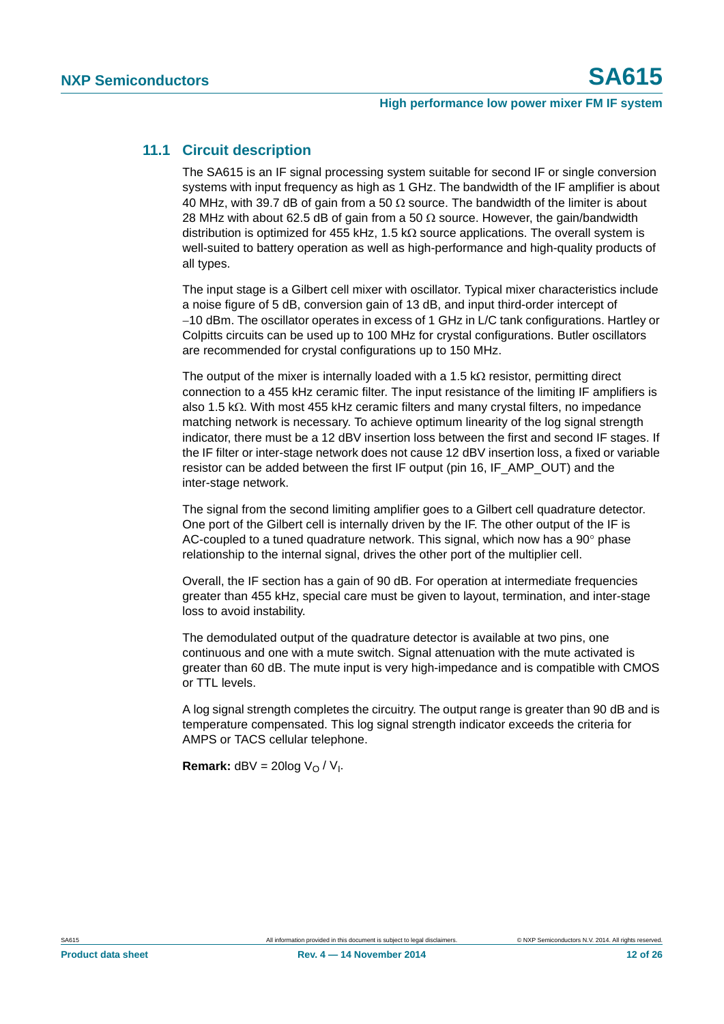## <span id="page-11-0"></span>**11.1 Circuit description**

The SA615 is an IF signal processing system suitable for second IF or single conversion systems with input frequency as high as 1 GHz. The bandwidth of the IF amplifier is about 40 MHz, with 39.7 dB of gain from a 50  $\Omega$  source. The bandwidth of the limiter is about 28 MHz with about 62.5 dB of gain from a 50  $\Omega$  source. However, the gain/bandwidth distribution is optimized for 455 kHz, 1.5 k $\Omega$  source applications. The overall system is well-suited to battery operation as well as high-performance and high-quality products of all types.

The input stage is a Gilbert cell mixer with oscillator. Typical mixer characteristics include a noise figure of 5 dB, conversion gain of 13 dB, and input third-order intercept of 10 dBm. The oscillator operates in excess of 1 GHz in L/C tank configurations. Hartley or Colpitts circuits can be used up to 100 MHz for crystal configurations. Butler oscillators are recommended for crystal configurations up to 150 MHz.

The output of the mixer is internally loaded with a 1.5  $k\Omega$  resistor, permitting direct connection to a 455 kHz ceramic filter. The input resistance of the limiting IF amplifiers is also 1.5 k $\Omega$ . With most 455 kHz ceramic filters and many crystal filters, no impedance matching network is necessary. To achieve optimum linearity of the log signal strength indicator, there must be a 12 dBV insertion loss between the first and second IF stages. If the IF filter or inter-stage network does not cause 12 dBV insertion loss, a fixed or variable resistor can be added between the first IF output (pin 16, IF\_AMP\_OUT) and the inter-stage network.

The signal from the second limiting amplifier goes to a Gilbert cell quadrature detector. One port of the Gilbert cell is internally driven by the IF. The other output of the IF is AC-coupled to a tuned quadrature network. This signal, which now has a  $90^\circ$  phase relationship to the internal signal, drives the other port of the multiplier cell.

Overall, the IF section has a gain of 90 dB. For operation at intermediate frequencies greater than 455 kHz, special care must be given to layout, termination, and inter-stage loss to avoid instability.

The demodulated output of the quadrature detector is available at two pins, one continuous and one with a mute switch. Signal attenuation with the mute activated is greater than 60 dB. The mute input is very high-impedance and is compatible with CMOS or TTL levels.

A log signal strength completes the circuitry. The output range is greater than 90 dB and is temperature compensated. This log signal strength indicator exceeds the criteria for AMPS or TACS cellular telephone.

**Remark:**  $dBV = 20log V<sub>0</sub> / V<sub>1</sub>$ .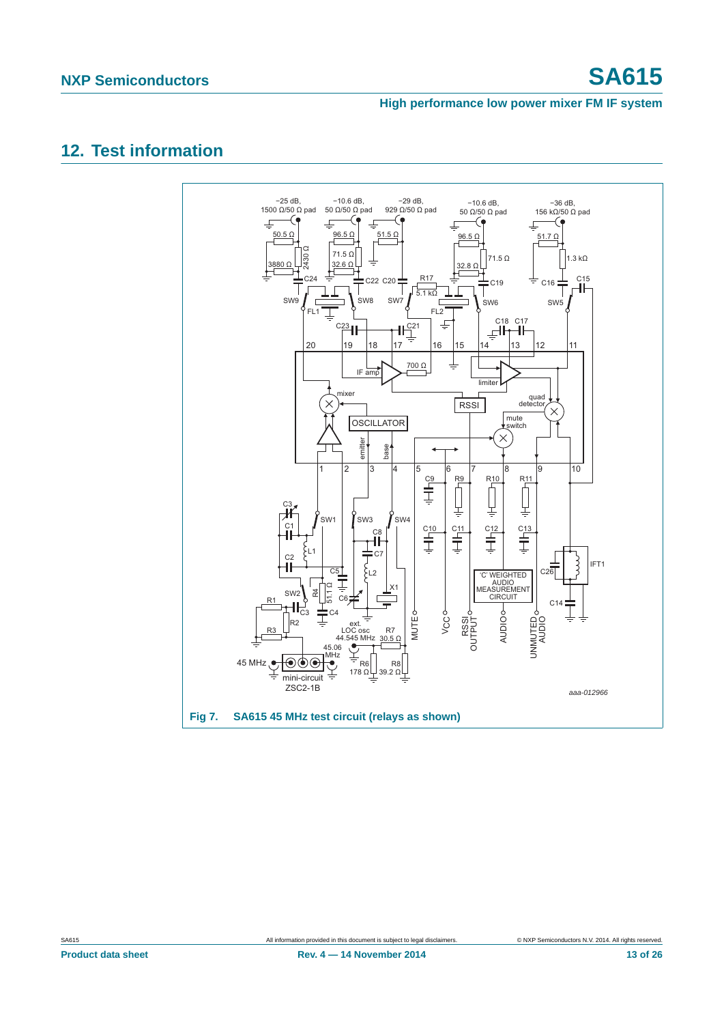# <span id="page-12-1"></span>**12. Test information**

<span id="page-12-0"></span>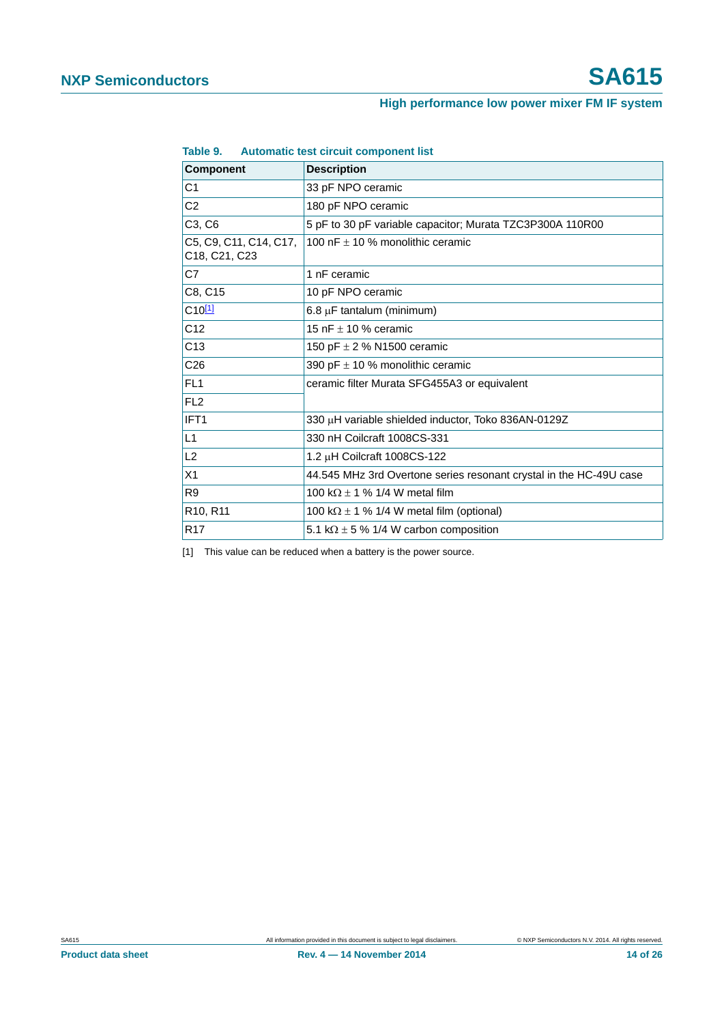| <b>Component</b>                        | <b>Description</b>                                                 |
|-----------------------------------------|--------------------------------------------------------------------|
| C <sub>1</sub>                          | 33 pF NPO ceramic                                                  |
| C <sub>2</sub>                          | 180 pF NPO ceramic                                                 |
| C <sub>3</sub> , C <sub>6</sub>         | 5 pF to 30 pF variable capacitor; Murata TZC3P300A 110R00          |
| C5, C9, C11, C14, C17,<br>C18, C21, C23 | 100 nF $\pm$ 10 % monolithic ceramic                               |
| C <sub>7</sub>                          | 1 nF ceramic                                                       |
| C8, C15                                 | 10 pF NPO ceramic                                                  |
| $C10^{[1]}$                             | $6.8 \mu$ F tantalum (minimum)                                     |
| C <sub>12</sub>                         | 15 nF $\pm$ 10 % ceramic                                           |
| C13                                     | 150 pF $\pm$ 2 % N1500 ceramic                                     |
| C <sub>26</sub>                         | 390 pF $\pm$ 10 % monolithic ceramic                               |
| FL <sub>1</sub>                         | ceramic filter Murata SFG455A3 or equivalent                       |
| FL <sub>2</sub>                         |                                                                    |
| IFT <sub>1</sub>                        | 330 µH variable shielded inductor, Toko 836AN-0129Z                |
| L1                                      | 330 nH Coilcraft 1008CS-331                                        |
| L2                                      | 1.2 µH Coilcraft 1008CS-122                                        |
| X1                                      | 44.545 MHz 3rd Overtone series resonant crystal in the HC-49U case |
| R <sub>9</sub>                          | 100 k $\Omega$ ± 1 % 1/4 W metal film                              |
| R10, R11                                | 100 k $\Omega$ ± 1 % 1/4 W metal film (optional)                   |
| R <sub>17</sub>                         | 5.1 k $\Omega$ ± 5 % 1/4 W carbon composition                      |

| Table 9. |  | Automatic test circuit component list |
|----------|--|---------------------------------------|
|          |  |                                       |

<span id="page-13-0"></span>[1] This value can be reduced when a battery is the power source.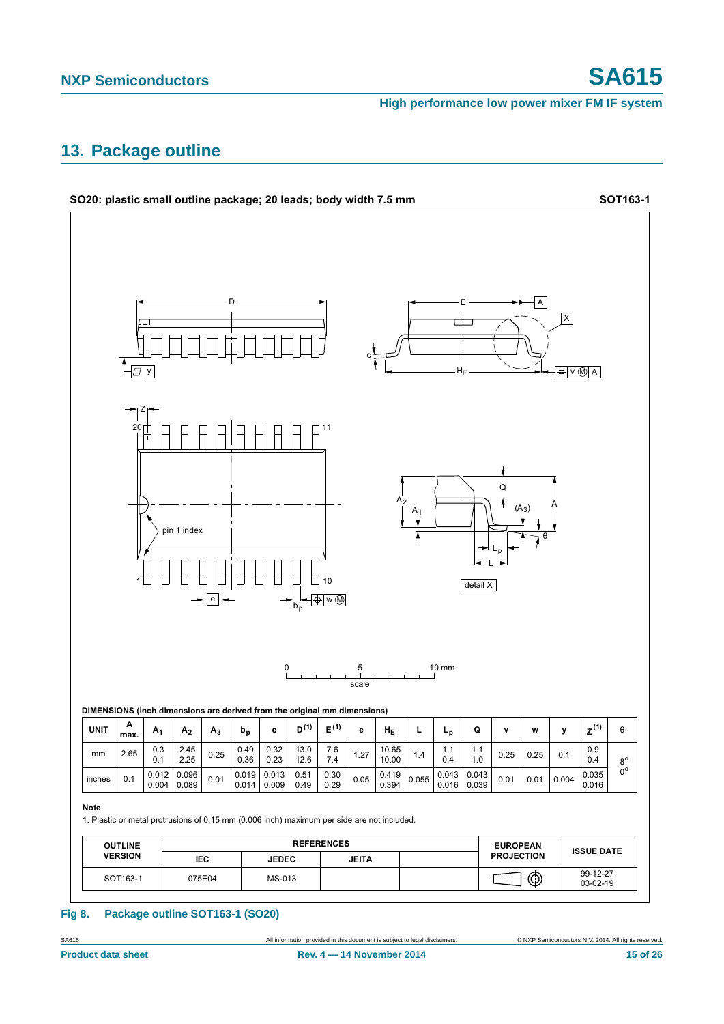# <span id="page-14-0"></span>**13. Package outline**



### **Fig 8. Package outline SOT163-1 (SO20)**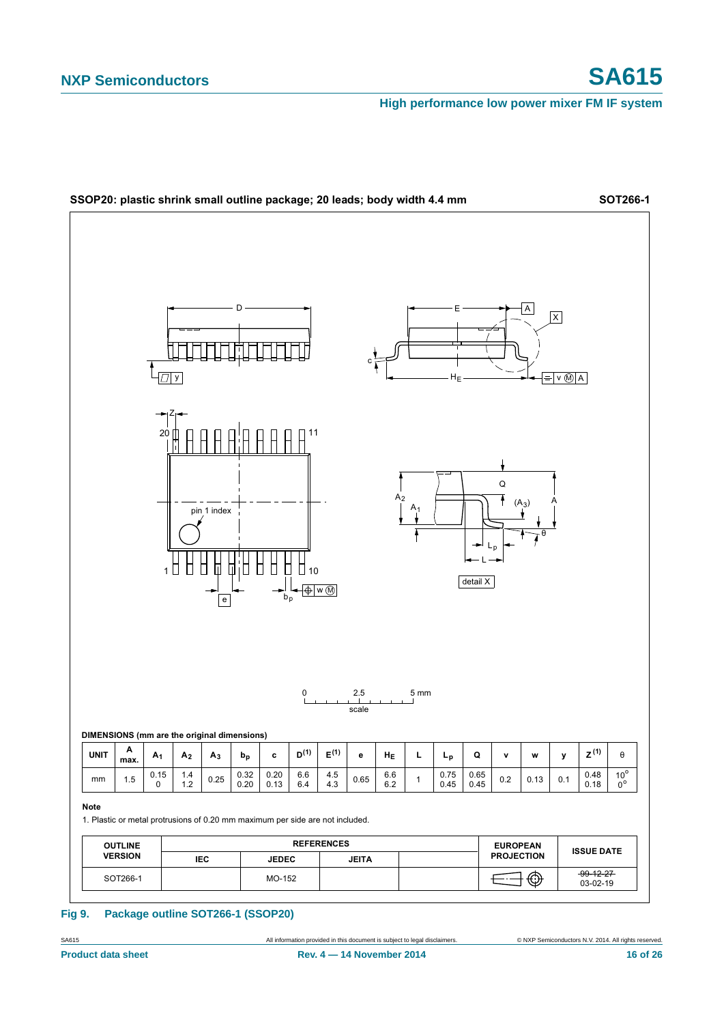

### **Fig 9. Package outline SOT266-1 (SSOP20)**

SA615 All information provided in this document is subject to legal disclaimers. © NXP Semiconductors N.V. 2014. All rights reserved.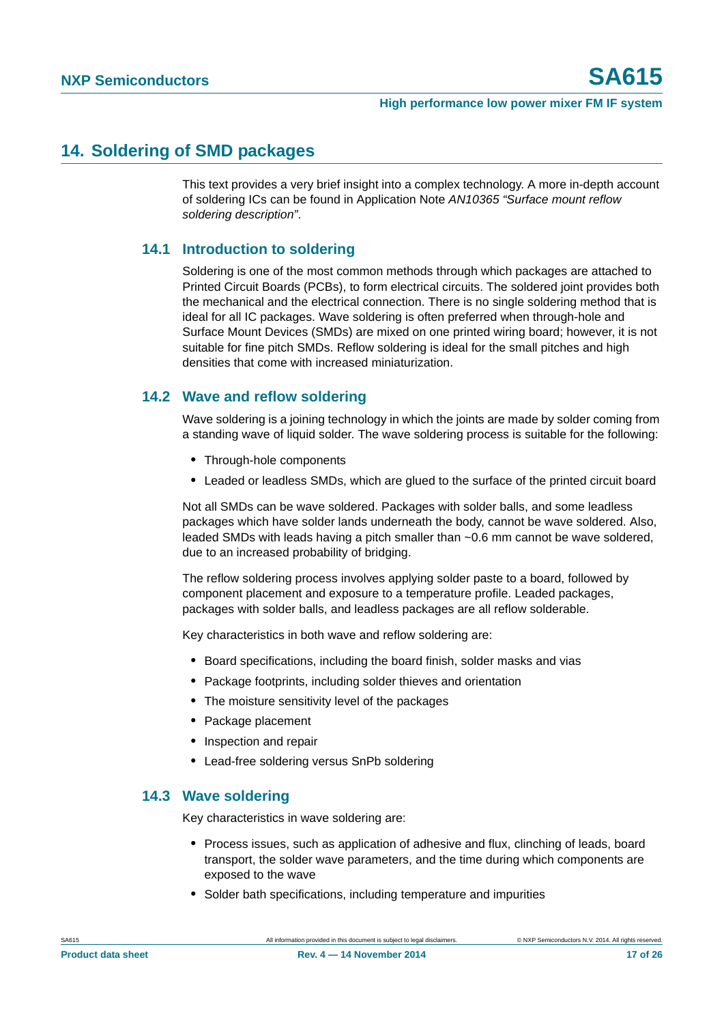# <span id="page-16-0"></span>**14. Soldering of SMD packages**

This text provides a very brief insight into a complex technology. A more in-depth account of soldering ICs can be found in Application Note *AN10365 "Surface mount reflow soldering description"*.

## <span id="page-16-1"></span>**14.1 Introduction to soldering**

Soldering is one of the most common methods through which packages are attached to Printed Circuit Boards (PCBs), to form electrical circuits. The soldered joint provides both the mechanical and the electrical connection. There is no single soldering method that is ideal for all IC packages. Wave soldering is often preferred when through-hole and Surface Mount Devices (SMDs) are mixed on one printed wiring board; however, it is not suitable for fine pitch SMDs. Reflow soldering is ideal for the small pitches and high densities that come with increased miniaturization.

## <span id="page-16-2"></span>**14.2 Wave and reflow soldering**

Wave soldering is a joining technology in which the joints are made by solder coming from a standing wave of liquid solder. The wave soldering process is suitable for the following:

- **•** Through-hole components
- **•** Leaded or leadless SMDs, which are glued to the surface of the printed circuit board

Not all SMDs can be wave soldered. Packages with solder balls, and some leadless packages which have solder lands underneath the body, cannot be wave soldered. Also, leaded SMDs with leads having a pitch smaller than ~0.6 mm cannot be wave soldered, due to an increased probability of bridging.

The reflow soldering process involves applying solder paste to a board, followed by component placement and exposure to a temperature profile. Leaded packages, packages with solder balls, and leadless packages are all reflow solderable.

Key characteristics in both wave and reflow soldering are:

- **•** Board specifications, including the board finish, solder masks and vias
- **•** Package footprints, including solder thieves and orientation
- **•** The moisture sensitivity level of the packages
- **•** Package placement
- **•** Inspection and repair
- **•** Lead-free soldering versus SnPb soldering

## <span id="page-16-3"></span>**14.3 Wave soldering**

Key characteristics in wave soldering are:

- **•** Process issues, such as application of adhesive and flux, clinching of leads, board transport, the solder wave parameters, and the time during which components are exposed to the wave
- **•** Solder bath specifications, including temperature and impurities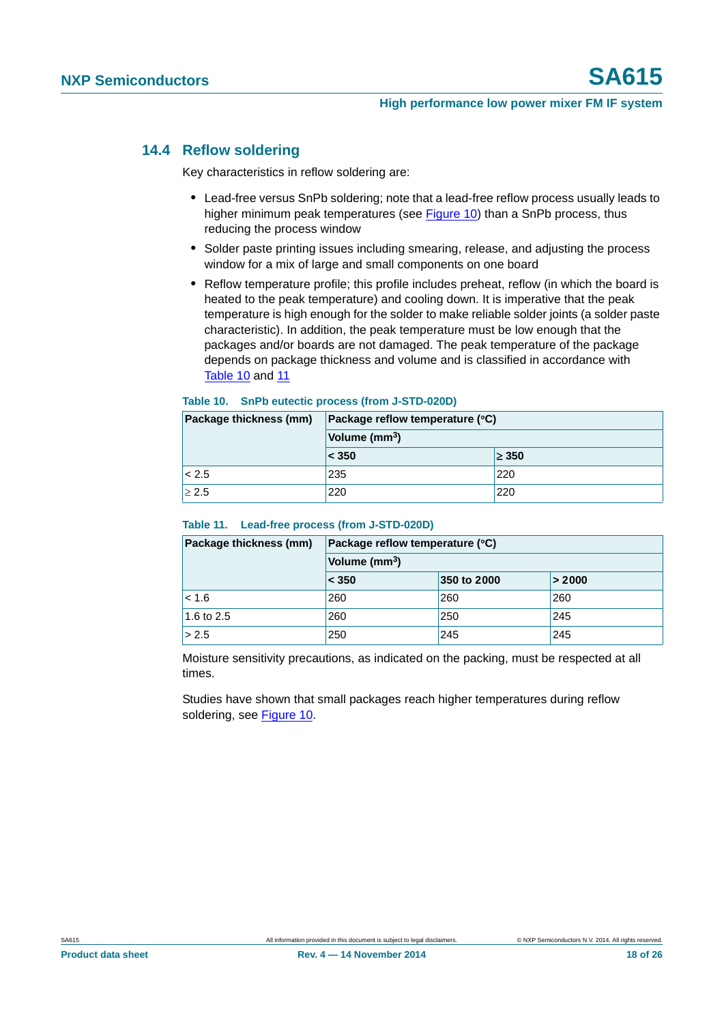## <span id="page-17-2"></span>**14.4 Reflow soldering**

Key characteristics in reflow soldering are:

- **•** Lead-free versus SnPb soldering; note that a lead-free reflow process usually leads to higher minimum peak temperatures (see [Figure 10\)](#page-18-0) than a SnPb process, thus reducing the process window
- **•** Solder paste printing issues including smearing, release, and adjusting the process window for a mix of large and small components on one board
- **•** Reflow temperature profile; this profile includes preheat, reflow (in which the board is heated to the peak temperature) and cooling down. It is imperative that the peak temperature is high enough for the solder to make reliable solder joints (a solder paste characteristic). In addition, the peak temperature must be low enough that the packages and/or boards are not damaged. The peak temperature of the package depends on package thickness and volume and is classified in accordance with [Table 10](#page-17-0) and [11](#page-17-1)

### <span id="page-17-0"></span>**Table 10. SnPb eutectic process (from J-STD-020D)**

| Package thickness (mm) | Package reflow temperature (°C) |            |  |
|------------------------|---------------------------------|------------|--|
|                        | Volume (mm <sup>3</sup> )       |            |  |
|                        | < 350                           | $\geq 350$ |  |
| < 2.5                  | 235                             | 220        |  |
| $\geq 2.5$             | 220                             | 220        |  |

### <span id="page-17-1"></span>**Table 11. Lead-free process (from J-STD-020D)**

| Package thickness (mm) | Package reflow temperature (°C) |             |        |  |
|------------------------|---------------------------------|-------------|--------|--|
|                        | Volume (mm <sup>3</sup> )       |             |        |  |
|                        | < 350                           | 350 to 2000 | > 2000 |  |
| < 1.6                  | 260                             | 260         | 260    |  |
| 1.6 to 2.5             | 260                             | 250         | 245    |  |
| > 2.5                  | 250                             | 245         | 245    |  |

Moisture sensitivity precautions, as indicated on the packing, must be respected at all times.

Studies have shown that small packages reach higher temperatures during reflow soldering, see [Figure 10](#page-18-0).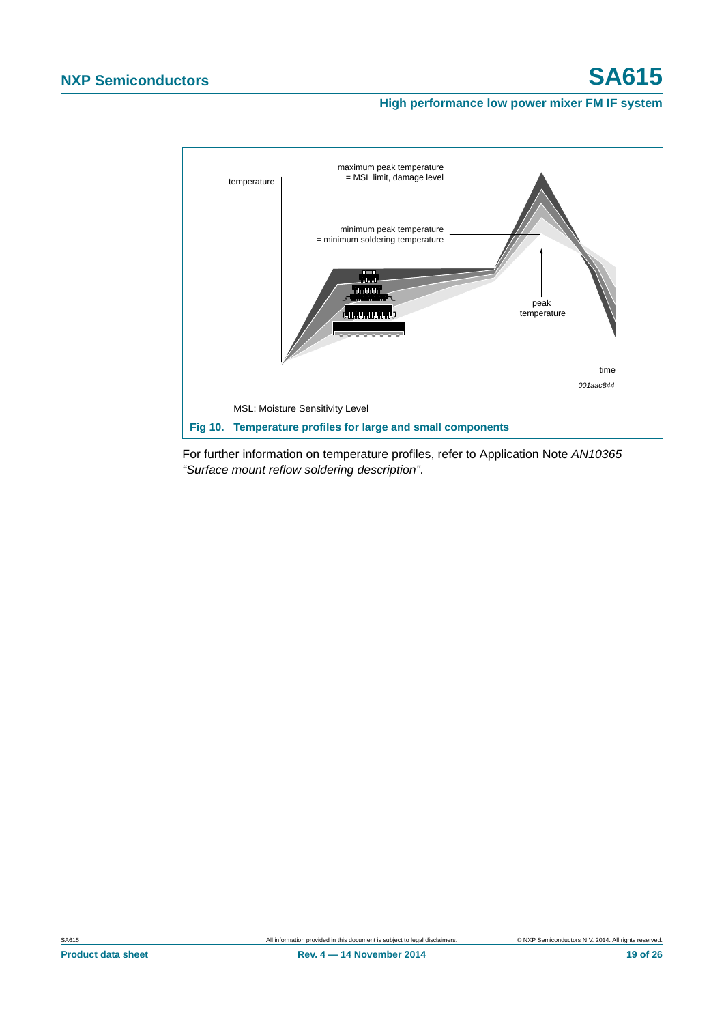

<span id="page-18-0"></span>For further information on temperature profiles, refer to Application Note *AN10365 "Surface mount reflow soldering description"*.

**Product data sheet Rev. 4 — 14 November 2014 Rev. 4 — 14 November 2014 19 of 26**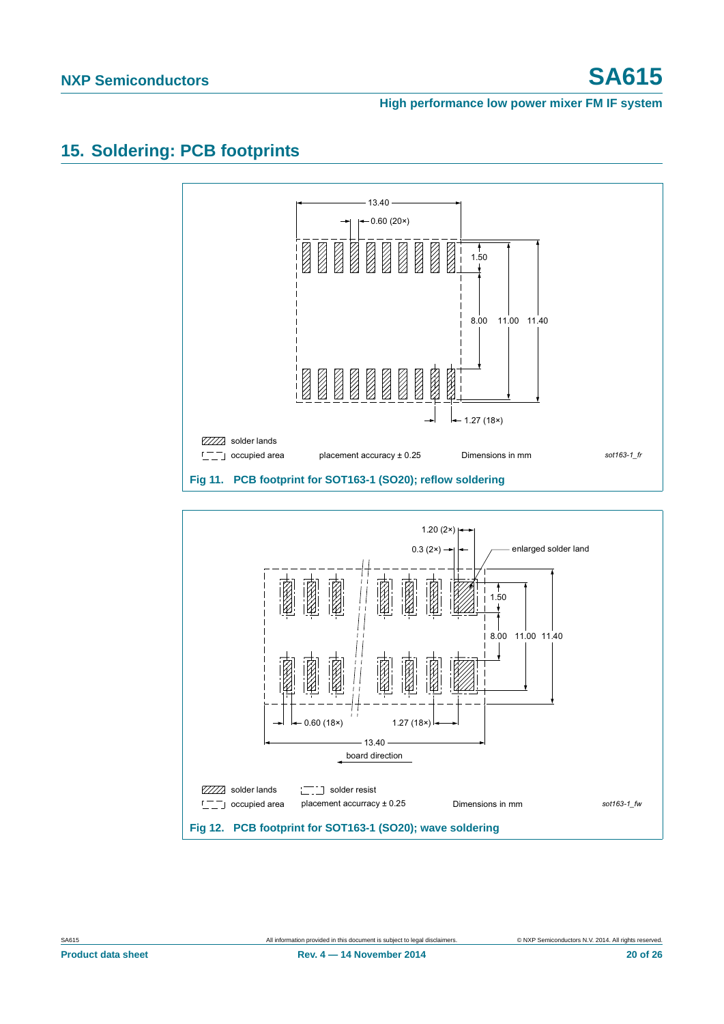# <span id="page-19-0"></span>**15. Soldering: PCB footprints**

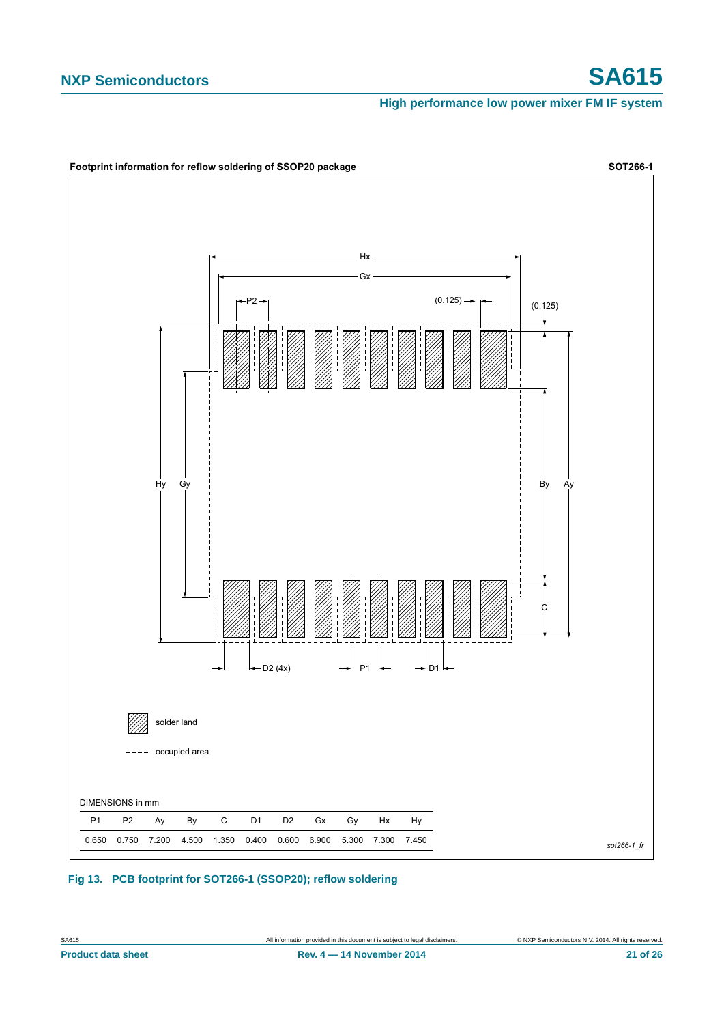

**Fig 13. PCB footprint for SOT266-1 (SSOP20); reflow soldering**

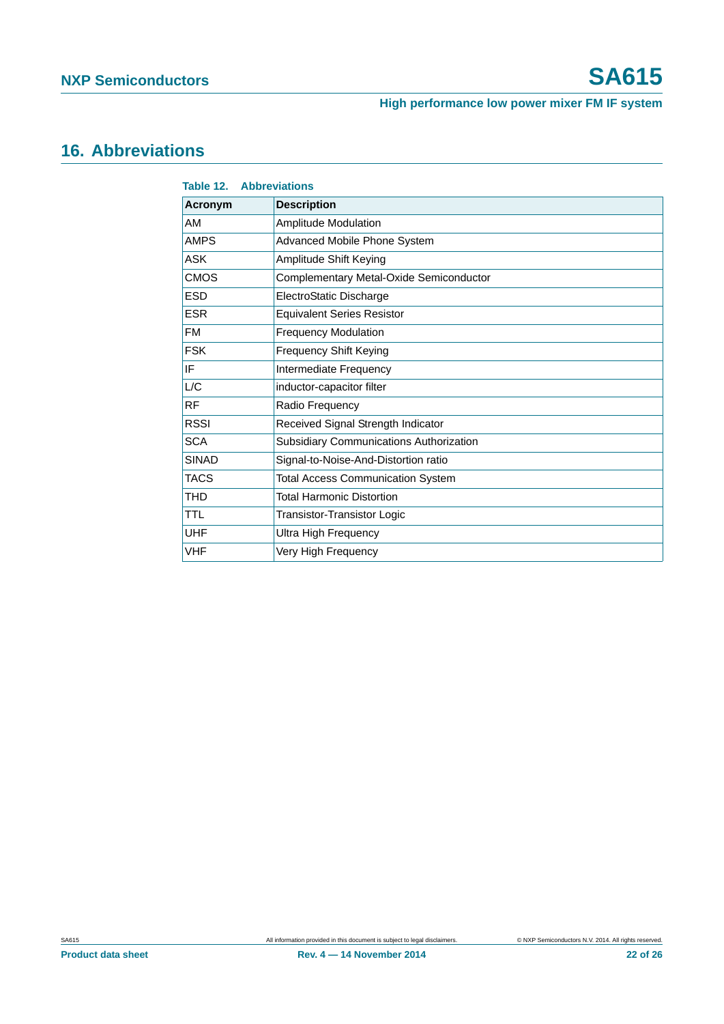# <span id="page-21-0"></span>**16. Abbreviations**

| Table 12.<br><b>Abbreviations</b>              |  |  |  |  |
|------------------------------------------------|--|--|--|--|
| <b>Description</b>                             |  |  |  |  |
| <b>Amplitude Modulation</b>                    |  |  |  |  |
| Advanced Mobile Phone System                   |  |  |  |  |
| Amplitude Shift Keying                         |  |  |  |  |
| Complementary Metal-Oxide Semiconductor        |  |  |  |  |
| ElectroStatic Discharge                        |  |  |  |  |
| <b>Equivalent Series Resistor</b>              |  |  |  |  |
| <b>Frequency Modulation</b>                    |  |  |  |  |
| <b>Frequency Shift Keying</b>                  |  |  |  |  |
| Intermediate Frequency                         |  |  |  |  |
| inductor-capacitor filter                      |  |  |  |  |
| Radio Frequency                                |  |  |  |  |
| Received Signal Strength Indicator             |  |  |  |  |
| <b>Subsidiary Communications Authorization</b> |  |  |  |  |
| Signal-to-Noise-And-Distortion ratio           |  |  |  |  |
| <b>Total Access Communication System</b>       |  |  |  |  |
| <b>Total Harmonic Distortion</b>               |  |  |  |  |
| Transistor-Transistor Logic                    |  |  |  |  |
| Ultra High Frequency                           |  |  |  |  |
| Very High Frequency                            |  |  |  |  |
|                                                |  |  |  |  |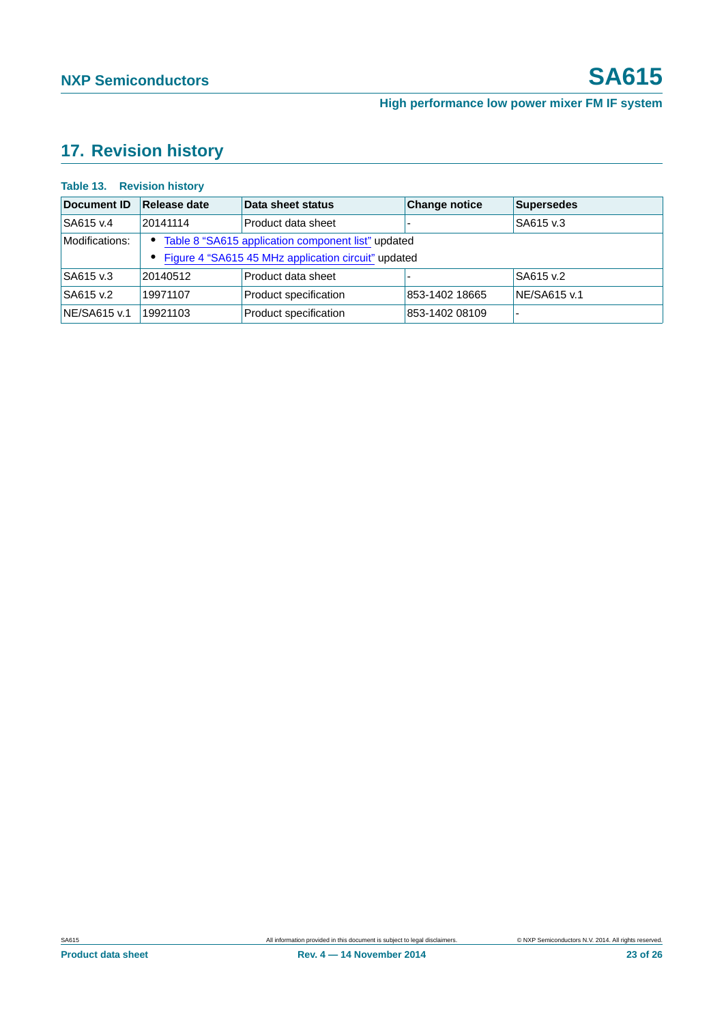# <span id="page-22-0"></span>**17. Revision history**

### **Table 13. Revision history**

| Document ID    | Release date                                                    | Data sheet status     | <b>Change notice</b> | <b>Supersedes</b> |  |
|----------------|-----------------------------------------------------------------|-----------------------|----------------------|-------------------|--|
| SA615 v.4      | 20141114                                                        | Product data sheet    |                      | SA615 v.3         |  |
| Modifications: | Table 8 "SA615 application component list" updated<br>$\bullet$ |                       |                      |                   |  |
|                | • Figure 4 "SA615 45 MHz application circuit" updated           |                       |                      |                   |  |
| SA615 v.3      | 20140512                                                        | Product data sheet    |                      | SA615 v.2         |  |
| SA615 v.2      | 19971107                                                        | Product specification | 853-1402 18665       | NE/SA615 v.1      |  |
| NE/SA615 v.1   | 19921103                                                        | Product specification | 853-1402 08109       |                   |  |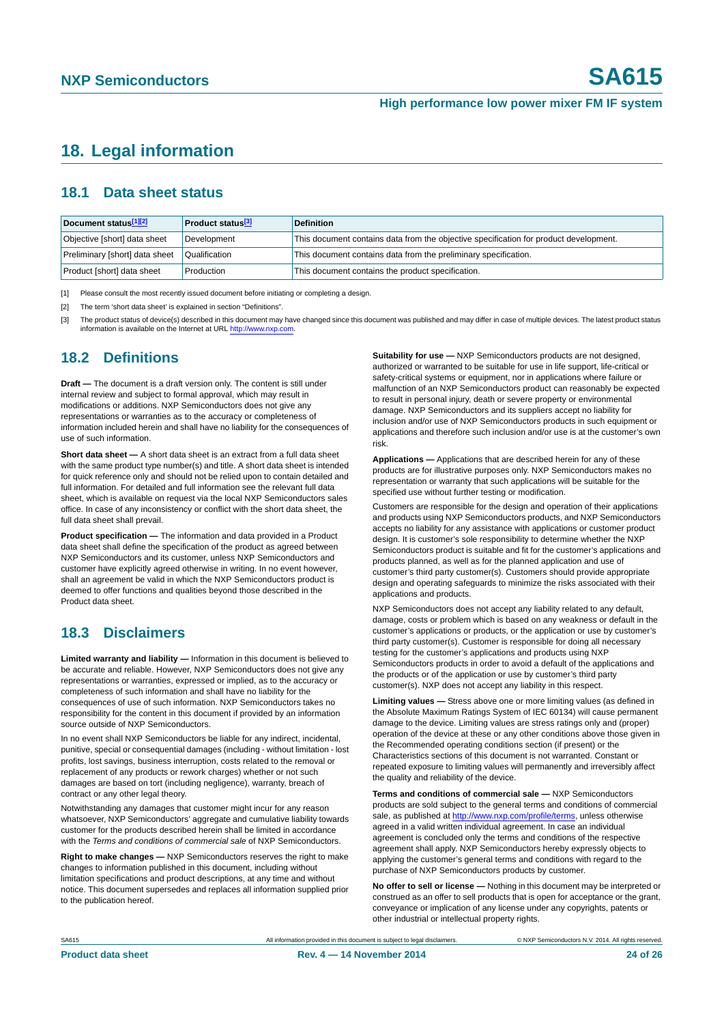# <span id="page-23-3"></span>**18. Legal information**

## <span id="page-23-4"></span>**18.1 Data sheet status**

| Document status[1][2]          | <b>Product status</b> <sup>[3]</sup> | <b>Definition</b>                                                                     |
|--------------------------------|--------------------------------------|---------------------------------------------------------------------------------------|
| Objective [short] data sheet   | Development                          | This document contains data from the objective specification for product development. |
| Preliminary [short] data sheet | Qualification                        | This document contains data from the preliminary specification.                       |
| Product [short] data sheet     | Production                           | This document contains the product specification.                                     |

<span id="page-23-0"></span>[1] Please consult the most recently issued document before initiating or completing a design.

<span id="page-23-1"></span>[2] The term 'short data sheet' is explained in section "Definitions".

<span id="page-23-2"></span>[3] The product status of device(s) described in this document may have changed since this document was published and may differ in case of multiple devices. The latest product status<br>information is available on the Intern

## <span id="page-23-5"></span>**18.2 Definitions**

**Draft —** The document is a draft version only. The content is still under internal review and subject to formal approval, which may result in modifications or additions. NXP Semiconductors does not give any representations or warranties as to the accuracy or completeness of information included herein and shall have no liability for the consequences of use of such information.

**Short data sheet —** A short data sheet is an extract from a full data sheet with the same product type number(s) and title. A short data sheet is intended for quick reference only and should not be relied upon to contain detailed and full information. For detailed and full information see the relevant full data sheet, which is available on request via the local NXP Semiconductors sales office. In case of any inconsistency or conflict with the short data sheet, the full data sheet shall prevail.

**Product specification —** The information and data provided in a Product data sheet shall define the specification of the product as agreed between NXP Semiconductors and its customer, unless NXP Semiconductors and customer have explicitly agreed otherwise in writing. In no event however, shall an agreement be valid in which the NXP Semiconductors product is deemed to offer functions and qualities beyond those described in the Product data sheet.

## <span id="page-23-6"></span>**18.3 Disclaimers**

**Limited warranty and liability —** Information in this document is believed to be accurate and reliable. However, NXP Semiconductors does not give any representations or warranties, expressed or implied, as to the accuracy or completeness of such information and shall have no liability for the consequences of use of such information. NXP Semiconductors takes no responsibility for the content in this document if provided by an information source outside of NXP Semiconductors.

In no event shall NXP Semiconductors be liable for any indirect, incidental, punitive, special or consequential damages (including - without limitation - lost profits, lost savings, business interruption, costs related to the removal or replacement of any products or rework charges) whether or not such damages are based on tort (including negligence), warranty, breach of contract or any other legal theory.

Notwithstanding any damages that customer might incur for any reason whatsoever, NXP Semiconductors' aggregate and cumulative liability towards customer for the products described herein shall be limited in accordance with the *Terms and conditions of commercial sale* of NXP Semiconductors.

**Right to make changes —** NXP Semiconductors reserves the right to make changes to information published in this document, including without limitation specifications and product descriptions, at any time and without notice. This document supersedes and replaces all information supplied prior to the publication hereof.

**Suitability for use —** NXP Semiconductors products are not designed, authorized or warranted to be suitable for use in life support, life-critical or safety-critical systems or equipment, nor in applications where failure or malfunction of an NXP Semiconductors product can reasonably be expected to result in personal injury, death or severe property or environmental damage. NXP Semiconductors and its suppliers accept no liability for inclusion and/or use of NXP Semiconductors products in such equipment or applications and therefore such inclusion and/or use is at the customer's own risk.

**Applications —** Applications that are described herein for any of these products are for illustrative purposes only. NXP Semiconductors makes no representation or warranty that such applications will be suitable for the specified use without further testing or modification.

Customers are responsible for the design and operation of their applications and products using NXP Semiconductors products, and NXP Semiconductors accepts no liability for any assistance with applications or customer product design. It is customer's sole responsibility to determine whether the NXP Semiconductors product is suitable and fit for the customer's applications and products planned, as well as for the planned application and use of customer's third party customer(s). Customers should provide appropriate design and operating safeguards to minimize the risks associated with their applications and products.

NXP Semiconductors does not accept any liability related to any default. damage, costs or problem which is based on any weakness or default in the customer's applications or products, or the application or use by customer's third party customer(s). Customer is responsible for doing all necessary testing for the customer's applications and products using NXP Semiconductors products in order to avoid a default of the applications and the products or of the application or use by customer's third party customer(s). NXP does not accept any liability in this respect.

**Limiting values —** Stress above one or more limiting values (as defined in the Absolute Maximum Ratings System of IEC 60134) will cause permanent damage to the device. Limiting values are stress ratings only and (proper) operation of the device at these or any other conditions above those given in the Recommended operating conditions section (if present) or the Characteristics sections of this document is not warranted. Constant or repeated exposure to limiting values will permanently and irreversibly affect the quality and reliability of the device.

**Terms and conditions of commercial sale —** NXP Semiconductors products are sold subject to the general terms and conditions of commercial sale, as published at<http://www.nxp.com/profile/terms>, unless otherwise agreed in a valid written individual agreement. In case an individual agreement is concluded only the terms and conditions of the respective agreement shall apply. NXP Semiconductors hereby expressly objects to applying the customer's general terms and conditions with regard to the purchase of NXP Semiconductors products by customer.

**No offer to sell or license —** Nothing in this document may be interpreted or construed as an offer to sell products that is open for acceptance or the grant, conveyance or implication of any license under any copyrights, patents or other industrial or intellectual property rights.

SA615 **All information provided in this document is subject to legal disclaimers. EXP Semiconductors N.V. 2014. All rights reserved.**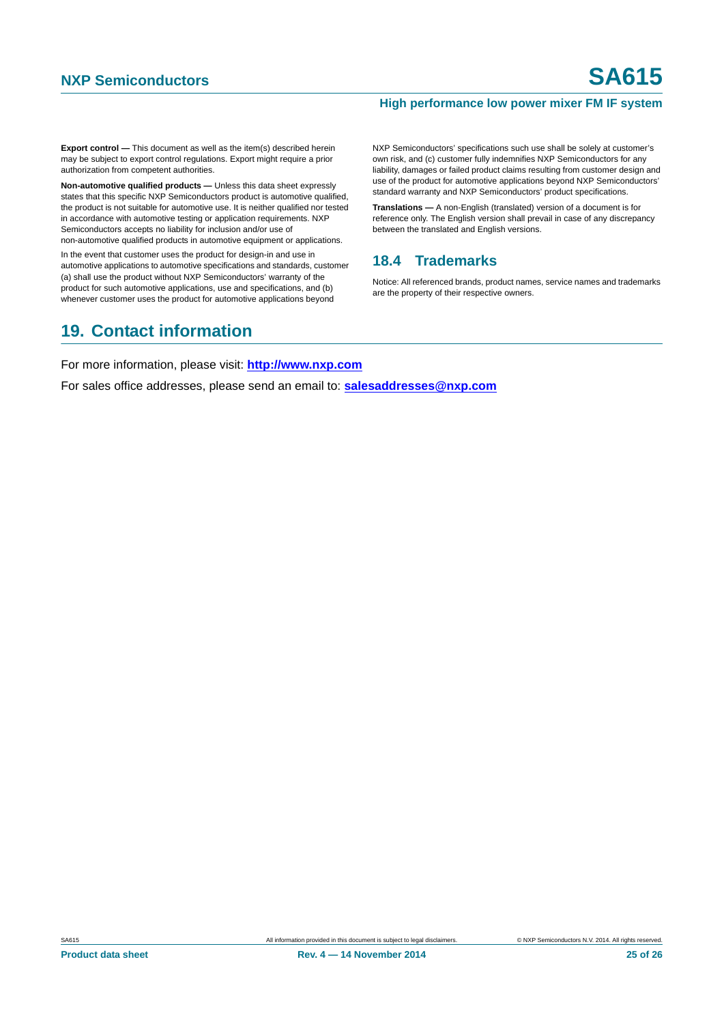**Export control —** This document as well as the item(s) described herein may be subject to export control regulations. Export might require a prior authorization from competent authorities.

**Non-automotive qualified products —** Unless this data sheet expressly states that this specific NXP Semiconductors product is automotive qualified, the product is not suitable for automotive use. It is neither qualified nor tested in accordance with automotive testing or application requirements. NXP Semiconductors accepts no liability for inclusion and/or use of non-automotive qualified products in automotive equipment or applications.

In the event that customer uses the product for design-in and use in automotive applications to automotive specifications and standards, customer (a) shall use the product without NXP Semiconductors' warranty of the product for such automotive applications, use and specifications, and (b) whenever customer uses the product for automotive applications beyond

### NXP Semiconductors' specifications such use shall be solely at customer's own risk, and (c) customer fully indemnifies NXP Semiconductors for any liability, damages or failed product claims resulting from customer design and use of the product for automotive applications beyond NXP Semiconductors' standard warranty and NXP Semiconductors' product specifications.

**Translations —** A non-English (translated) version of a document is for reference only. The English version shall prevail in case of any discrepancy between the translated and English versions.

## <span id="page-24-0"></span>**18.4 Trademarks**

Notice: All referenced brands, product names, service names and trademarks are the property of their respective owners.

# <span id="page-24-1"></span>**19. Contact information**

For more information, please visit: **http://www.nxp.com**

For sales office addresses, please send an email to: **salesaddresses@nxp.com**